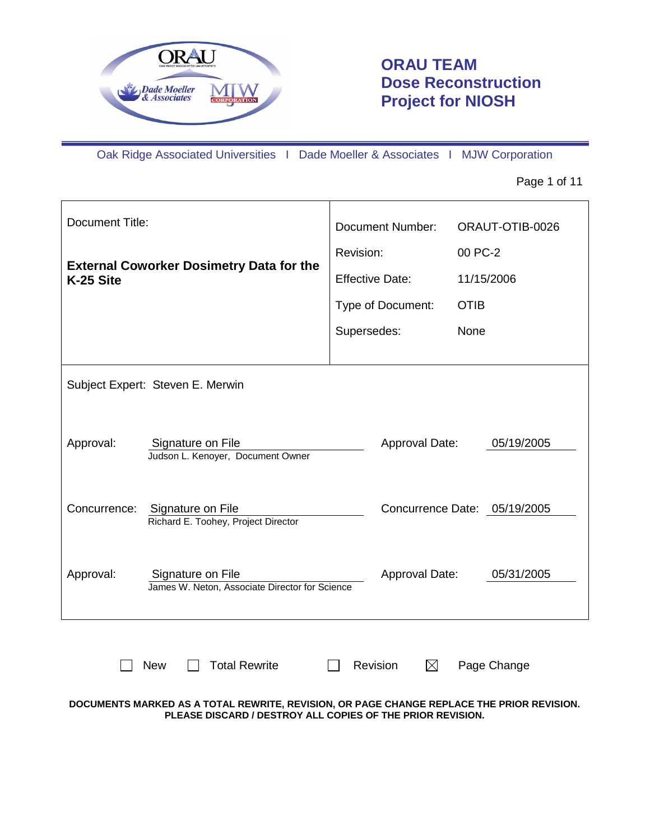

# **ORAU TEAM Dose Reconstruction Project for NIOSH**

Oak Ridge Associated Universities I Dade Moeller & Associates I MJW Corporation

Page 1 of 11

| <b>Document Title:</b>                          |                                                                     | <b>Document Number:</b> | ORAUT-OTIB-0026              |  |
|-------------------------------------------------|---------------------------------------------------------------------|-------------------------|------------------------------|--|
| <b>External Coworker Dosimetry Data for the</b> |                                                                     | Revision:               | 00 PC-2                      |  |
| K-25 Site                                       |                                                                     | <b>Effective Date:</b>  | 11/15/2006                   |  |
|                                                 |                                                                     | Type of Document:       | <b>OTIB</b>                  |  |
|                                                 |                                                                     | Supersedes:             | None                         |  |
|                                                 |                                                                     |                         |                              |  |
|                                                 | Subject Expert: Steven E. Merwin                                    |                         |                              |  |
|                                                 |                                                                     |                         |                              |  |
| Approval:                                       | Signature on File                                                   | Approval Date:          | 05/19/2005                   |  |
|                                                 | Judson L. Kenoyer, Document Owner                                   |                         |                              |  |
| Concurrence:                                    |                                                                     |                         |                              |  |
|                                                 | Signature on File<br>Richard E. Toohey, Project Director            |                         | Concurrence Date: 05/19/2005 |  |
|                                                 |                                                                     |                         |                              |  |
| Approval:                                       | Signature on File<br>James W. Neton, Associate Director for Science | Approval Date:          | 05/31/2005                   |  |
|                                                 |                                                                     |                         |                              |  |
|                                                 |                                                                     |                         |                              |  |
|                                                 | <b>Total Rewrite</b><br><b>New</b>                                  | Revision<br>$\boxtimes$ | Page Change                  |  |
|                                                 |                                                                     |                         |                              |  |

**DOCUMENTS MARKED AS A TOTAL REWRITE, REVISION, OR PAGE CHANGE REPLACE THE PRIOR REVISION. PLEASE DISCARD / DESTROY ALL COPIES OF THE PRIOR REVISION.**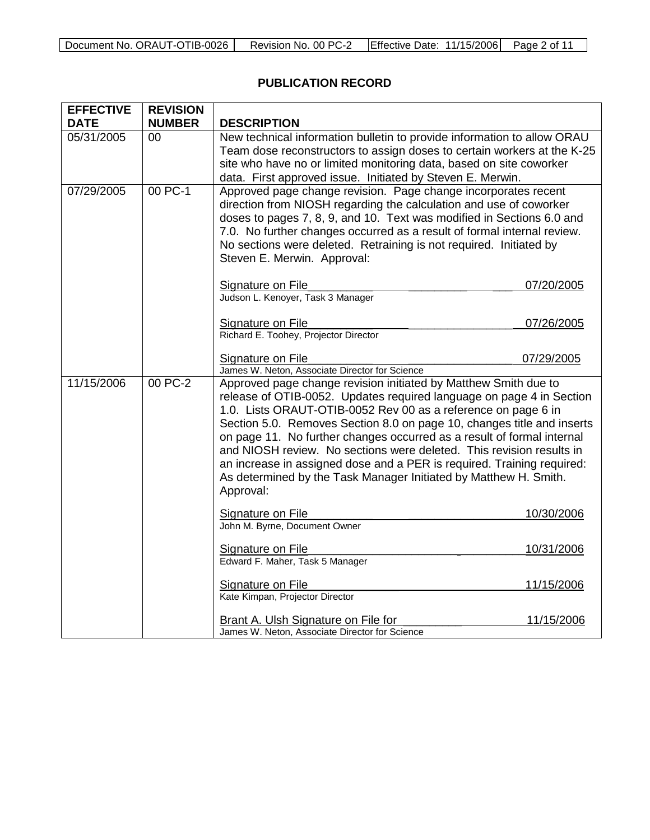| Document No. ORAUT-OTIB-0026 | 00 PC-2<br>Revision<br>NO. | <b>Effective Date:</b><br>11/15/2006 | Page.<br>of |
|------------------------------|----------------------------|--------------------------------------|-------------|

# **PUBLICATION RECORD**

| <b>EFFECTIVE</b><br><b>DATE</b> | <b>REVISION</b><br><b>NUMBER</b> | <b>DESCRIPTION</b>                                                                                                                                                                                                                                                                                                                                                                                                                                                                                                                                                                              |            |
|---------------------------------|----------------------------------|-------------------------------------------------------------------------------------------------------------------------------------------------------------------------------------------------------------------------------------------------------------------------------------------------------------------------------------------------------------------------------------------------------------------------------------------------------------------------------------------------------------------------------------------------------------------------------------------------|------------|
| 05/31/2005                      | 00                               | New technical information bulletin to provide information to allow ORAU<br>Team dose reconstructors to assign doses to certain workers at the K-25<br>site who have no or limited monitoring data, based on site coworker<br>data. First approved issue. Initiated by Steven E. Merwin.                                                                                                                                                                                                                                                                                                         |            |
| 07/29/2005                      | 00 PC-1                          | Approved page change revision. Page change incorporates recent<br>direction from NIOSH regarding the calculation and use of coworker<br>doses to pages 7, 8, 9, and 10. Text was modified in Sections 6.0 and<br>7.0. No further changes occurred as a result of formal internal review.<br>No sections were deleted. Retraining is not required. Initiated by<br>Steven E. Merwin. Approval:                                                                                                                                                                                                   |            |
|                                 |                                  | Signature on File<br>Judson L. Kenoyer, Task 3 Manager                                                                                                                                                                                                                                                                                                                                                                                                                                                                                                                                          | 07/20/2005 |
|                                 |                                  | Signature on File<br>Richard E. Toohey, Projector Director                                                                                                                                                                                                                                                                                                                                                                                                                                                                                                                                      | 07/26/2005 |
|                                 |                                  | Signature on File<br>James W. Neton, Associate Director for Science                                                                                                                                                                                                                                                                                                                                                                                                                                                                                                                             | 07/29/2005 |
| 11/15/2006                      | 00 PC- $2$                       | Approved page change revision initiated by Matthew Smith due to<br>release of OTIB-0052. Updates required language on page 4 in Section<br>1.0. Lists ORAUT-OTIB-0052 Rev 00 as a reference on page 6 in<br>Section 5.0. Removes Section 8.0 on page 10, changes title and inserts<br>on page 11. No further changes occurred as a result of formal internal<br>and NIOSH review. No sections were deleted. This revision results in<br>an increase in assigned dose and a PER is required. Training required:<br>As determined by the Task Manager Initiated by Matthew H. Smith.<br>Approval: |            |
|                                 |                                  | Signature on File<br>John M. Byrne, Document Owner                                                                                                                                                                                                                                                                                                                                                                                                                                                                                                                                              | 10/30/2006 |
|                                 |                                  | Signature on File<br>Edward F. Maher, Task 5 Manager                                                                                                                                                                                                                                                                                                                                                                                                                                                                                                                                            | 10/31/2006 |
|                                 |                                  | Signature on File<br>Kate Kimpan, Projector Director                                                                                                                                                                                                                                                                                                                                                                                                                                                                                                                                            | 11/15/2006 |
|                                 |                                  | <b>Brant A. Ulsh Signature on File for</b><br>James W. Neton, Associate Director for Science                                                                                                                                                                                                                                                                                                                                                                                                                                                                                                    | 11/15/2006 |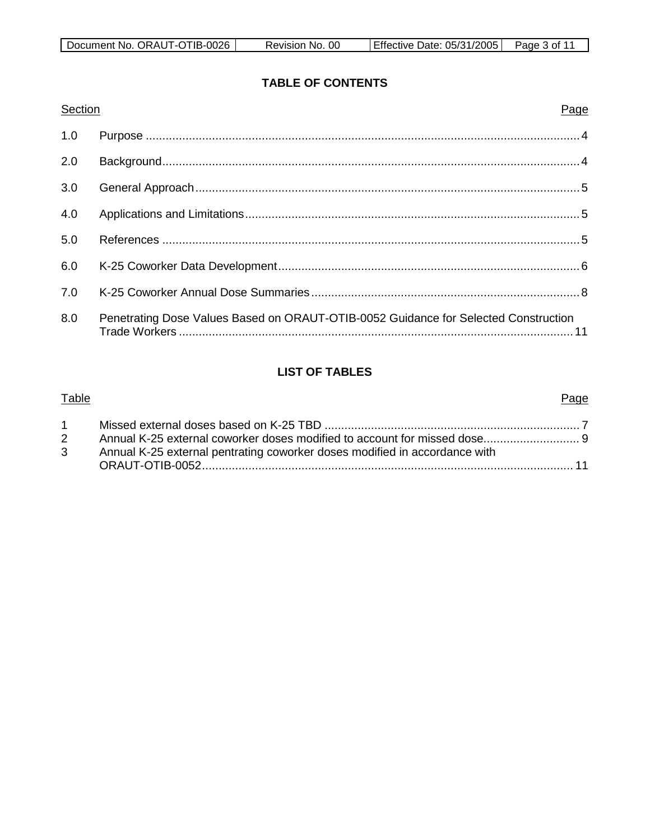# **TABLE OF CONTENTS**

| Section | Page                                                                                |
|---------|-------------------------------------------------------------------------------------|
| 1.0     |                                                                                     |
| 2.0     |                                                                                     |
| 3.0     |                                                                                     |
| 4.0     |                                                                                     |
| 5.0     |                                                                                     |
| 6.0     |                                                                                     |
| 7.0     |                                                                                     |
| 8.0     | Penetrating Dose Values Based on ORAUT-OTIB-0052 Guidance for Selected Construction |

# **LIST OF TABLES**

# Table Page 1 Missed external doses based on K-25 TBD ............................................................................. 7 2 Annual K-25 external coworker doses modified to account for missed dose............................. 9 3 Annual K-25 external pentrating coworker doses modified in accordance with ORAUT-OTIB-0052................................................................................................................ 11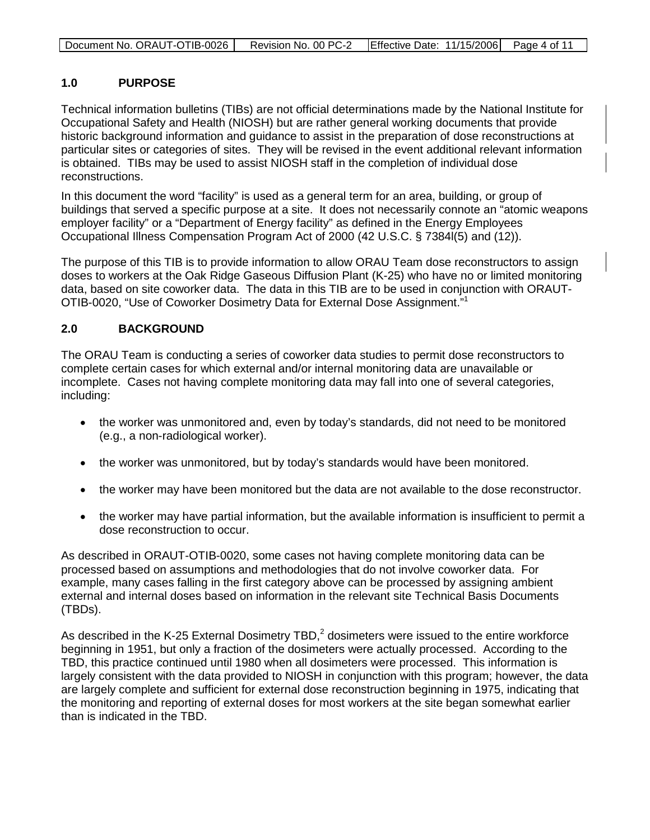| Document No. ORAUT-OTIB-0026 | Revision No. 00 PC-2   Effective Date: 11/15/2006   Page 4 of 11 |  |
|------------------------------|------------------------------------------------------------------|--|
|                              |                                                                  |  |

# **1.0 PURPOSE**

Technical information bulletins (TIBs) are not official determinations made by the National Institute for Occupational Safety and Health (NIOSH) but are rather general working documents that provide historic background information and guidance to assist in the preparation of dose reconstructions at particular sites or categories of sites. They will be revised in the event additional relevant information is obtained. TIBs may be used to assist NIOSH staff in the completion of individual dose reconstructions.

In this document the word "facility" is used as a general term for an area, building, or group of buildings that served a specific purpose at a site. It does not necessarily connote an "atomic weapons employer facility" or a "Department of Energy facility" as defined in the Energy Employees Occupational Illness Compensation Program Act of 2000 (42 U.S.C. § 7384l(5) and (12)).

The purpose of this TIB is to provide information to allow ORAU Team dose reconstructors to assign doses to workers at the Oak Ridge Gaseous Diffusion Plant (K-25) who have no or limited monitoring data, based on site coworker data. The data in this TIB are to be used in conjunction with ORAUT-OTIB-0020, "Use of Coworker Dosimetry Data for External Dose Assignment."<sup>1</sup>

# **2.0 BACKGROUND**

The ORAU Team is conducting a series of coworker data studies to permit dose reconstructors to complete certain cases for which external and/or internal monitoring data are unavailable or incomplete. Cases not having complete monitoring data may fall into one of several categories, including:

- the worker was unmonitored and, even by today's standards, did not need to be monitored (e.g., a non-radiological worker).
- the worker was unmonitored, but by today's standards would have been monitored.
- the worker may have been monitored but the data are not available to the dose reconstructor.
- the worker may have partial information, but the available information is insufficient to permit a dose reconstruction to occur.

As described in ORAUT-OTIB-0020, some cases not having complete monitoring data can be processed based on assumptions and methodologies that do not involve coworker data. For example, many cases falling in the first category above can be processed by assigning ambient external and internal doses based on information in the relevant site Technical Basis Documents (TBDs).

As described in the K-25 External Dosimetry TBD, $<sup>2</sup>$  dosimeters were issued to the entire workforce</sup> beginning in 1951, but only a fraction of the dosimeters were actually processed. According to the TBD, this practice continued until 1980 when all dosimeters were processed. This information is largely consistent with the data provided to NIOSH in conjunction with this program; however, the data are largely complete and sufficient for external dose reconstruction beginning in 1975, indicating that the monitoring and reporting of external doses for most workers at the site began somewhat earlier than is indicated in the TBD.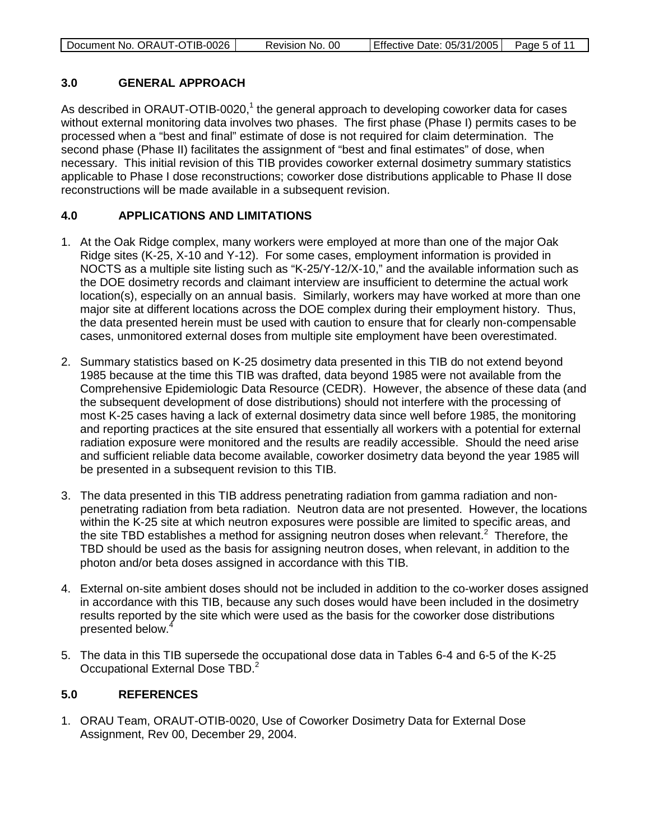| Document No. ORAUT-OTIB-0026 | Revision No. 00 | Effective Date: 05/31/2005   Page 5 of 11 |  |
|------------------------------|-----------------|-------------------------------------------|--|
|                              |                 |                                           |  |

# **3.0 GENERAL APPROACH**

As described in ORAUT-OTIB-0020,<sup>1</sup> the general approach to developing coworker data for cases without external monitoring data involves two phases. The first phase (Phase I) permits cases to be processed when a "best and final" estimate of dose is not required for claim determination. The second phase (Phase II) facilitates the assignment of "best and final estimates" of dose, when necessary. This initial revision of this TIB provides coworker external dosimetry summary statistics applicable to Phase I dose reconstructions; coworker dose distributions applicable to Phase II dose reconstructions will be made available in a subsequent revision.

# **4.0 APPLICATIONS AND LIMITATIONS**

- 1. At the Oak Ridge complex, many workers were employed at more than one of the major Oak Ridge sites (K-25, X-10 and Y-12). For some cases, employment information is provided in NOCTS as a multiple site listing such as "K-25/Y-12/X-10," and the available information such as the DOE dosimetry records and claimant interview are insufficient to determine the actual work location(s), especially on an annual basis. Similarly, workers may have worked at more than one major site at different locations across the DOE complex during their employment history. Thus, the data presented herein must be used with caution to ensure that for clearly non-compensable cases, unmonitored external doses from multiple site employment have been overestimated.
- 2. Summary statistics based on K-25 dosimetry data presented in this TIB do not extend beyond 1985 because at the time this TIB was drafted, data beyond 1985 were not available from the Comprehensive Epidemiologic Data Resource (CEDR). However, the absence of these data (and the subsequent development of dose distributions) should not interfere with the processing of most K-25 cases having a lack of external dosimetry data since well before 1985, the monitoring and reporting practices at the site ensured that essentially all workers with a potential for external radiation exposure were monitored and the results are readily accessible. Should the need arise and sufficient reliable data become available, coworker dosimetry data beyond the year 1985 will be presented in a subsequent revision to this TIB.
- 3. The data presented in this TIB address penetrating radiation from gamma radiation and nonpenetrating radiation from beta radiation. Neutron data are not presented. However, the locations within the K-25 site at which neutron exposures were possible are limited to specific areas, and the site TBD establishes a method for assigning neutron doses when relevant.<sup>2</sup> Therefore, the TBD should be used as the basis for assigning neutron doses, when relevant, in addition to the photon and/or beta doses assigned in accordance with this TIB.
- 4. External on-site ambient doses should not be included in addition to the co-worker doses assigned in accordance with this TIB, because any such doses would have been included in the dosimetry results reported by the site which were used as the basis for the coworker dose distributions presented below.<sup>4</sup>
- 5. The data in this TIB supersede the occupational dose data in Tables 6-4 and 6-5 of the K-25 Occupational External Dose TBD.<sup>2</sup>

# **5.0 REFERENCES**

1. ORAU Team, ORAUT-OTIB-0020, Use of Coworker Dosimetry Data for External Dose Assignment, Rev 00, December 29, 2004.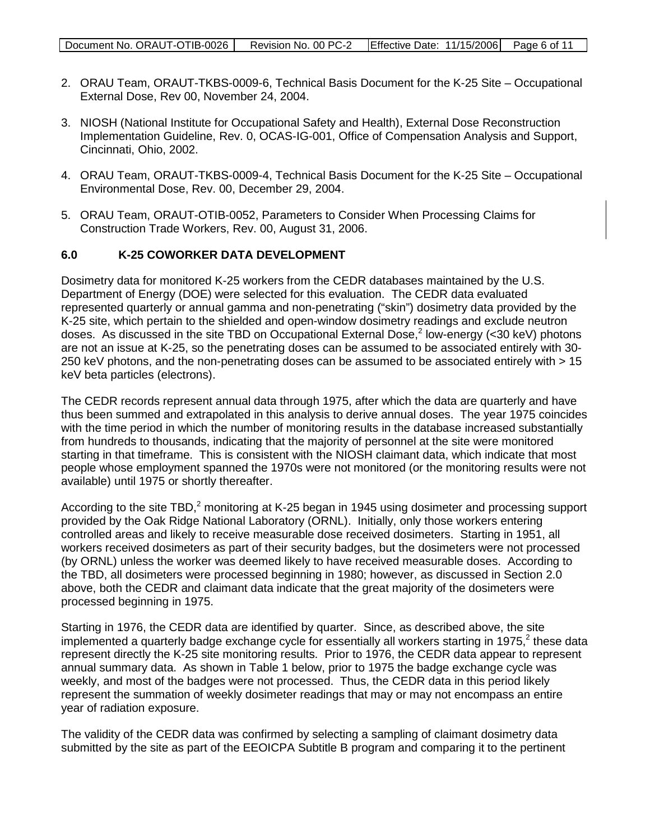- 2. ORAU Team, ORAUT-TKBS-0009-6, Technical Basis Document for the K-25 Site Occupational External Dose, Rev 00, November 24, 2004.
- 3. NIOSH (National Institute for Occupational Safety and Health), External Dose Reconstruction Implementation Guideline, Rev. 0, OCAS-IG-001, Office of Compensation Analysis and Support, Cincinnati, Ohio, 2002.
- 4. ORAU Team, ORAUT-TKBS-0009-4, Technical Basis Document for the K-25 Site Occupational Environmental Dose, Rev. 00, December 29, 2004.
- 5. ORAU Team, ORAUT-OTIB-0052, Parameters to Consider When Processing Claims for Construction Trade Workers, Rev. 00, August 31, 2006.

# **6.0 K-25 COWORKER DATA DEVELOPMENT**

Dosimetry data for monitored K-25 workers from the CEDR databases maintained by the U.S. Department of Energy (DOE) were selected for this evaluation. The CEDR data evaluated represented quarterly or annual gamma and non-penetrating ("skin") dosimetry data provided by the K-25 site, which pertain to the shielded and open-window dosimetry readings and exclude neutron doses. As discussed in the site TBD on Occupational External Dose,<sup>2</sup> low-energy (<30 keV) photons are not an issue at K-25, so the penetrating doses can be assumed to be associated entirely with 30- 250 keV photons, and the non-penetrating doses can be assumed to be associated entirely with > 15 keV beta particles (electrons).

The CEDR records represent annual data through 1975, after which the data are quarterly and have thus been summed and extrapolated in this analysis to derive annual doses. The year 1975 coincides with the time period in which the number of monitoring results in the database increased substantially from hundreds to thousands, indicating that the majority of personnel at the site were monitored starting in that timeframe. This is consistent with the NIOSH claimant data, which indicate that most people whose employment spanned the 1970s were not monitored (or the monitoring results were not available) until 1975 or shortly thereafter.

According to the site TBD,<sup>2</sup> monitoring at K-25 began in 1945 using dosimeter and processing support provided by the Oak Ridge National Laboratory (ORNL). Initially, only those workers entering controlled areas and likely to receive measurable dose received dosimeters. Starting in 1951, all workers received dosimeters as part of their security badges, but the dosimeters were not processed (by ORNL) unless the worker was deemed likely to have received measurable doses. According to the TBD, all dosimeters were processed beginning in 1980; however, as discussed in Section 2.0 above, both the CEDR and claimant data indicate that the great majority of the dosimeters were processed beginning in 1975.

Starting in 1976, the CEDR data are identified by quarter. Since, as described above, the site implemented a quarterly badge exchange cycle for essentially all workers starting in 1975,<sup>2</sup> these data represent directly the K-25 site monitoring results. Prior to 1976, the CEDR data appear to represent annual summary data. As shown in Table 1 below, prior to 1975 the badge exchange cycle was weekly, and most of the badges were not processed. Thus, the CEDR data in this period likely represent the summation of weekly dosimeter readings that may or may not encompass an entire year of radiation exposure.

The validity of the CEDR data was confirmed by selecting a sampling of claimant dosimetry data submitted by the site as part of the EEOICPA Subtitle B program and comparing it to the pertinent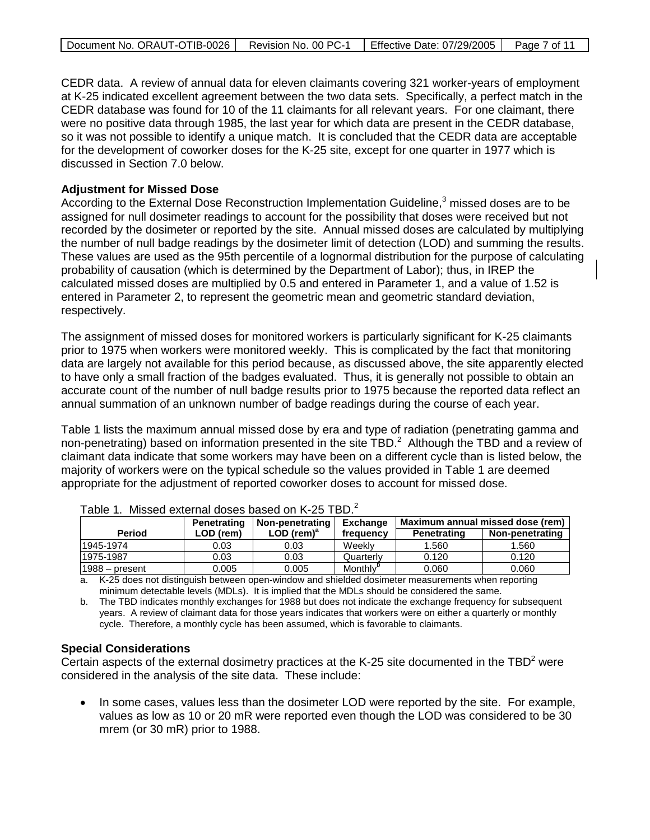|  | Document No. ORAUT-OTIB-0026   Revision No. 00 PC-1 |  | Effective Date: 07/29/2005 | Page 7 of 11 |
|--|-----------------------------------------------------|--|----------------------------|--------------|
|--|-----------------------------------------------------|--|----------------------------|--------------|

CEDR data. A review of annual data for eleven claimants covering 321 worker-years of employment at K-25 indicated excellent agreement between the two data sets. Specifically, a perfect match in the CEDR database was found for 10 of the 11 claimants for all relevant years. For one claimant, there were no positive data through 1985, the last year for which data are present in the CEDR database, so it was not possible to identify a unique match. It is concluded that the CEDR data are acceptable for the development of coworker doses for the K-25 site, except for one quarter in 1977 which is discussed in Section 7.0 below.

#### **Adjustment for Missed Dose**

According to the External Dose Reconstruction Implementation Guideline,<sup>3</sup> missed doses are to be assigned for null dosimeter readings to account for the possibility that doses were received but not recorded by the dosimeter or reported by the site. Annual missed doses are calculated by multiplying the number of null badge readings by the dosimeter limit of detection (LOD) and summing the results. These values are used as the 95th percentile of a lognormal distribution for the purpose of calculating probability of causation (which is determined by the Department of Labor); thus, in IREP the calculated missed doses are multiplied by 0.5 and entered in Parameter 1, and a value of 1.52 is entered in Parameter 2, to represent the geometric mean and geometric standard deviation, respectively.

The assignment of missed doses for monitored workers is particularly significant for K-25 claimants prior to 1975 when workers were monitored weekly. This is complicated by the fact that monitoring data are largely not available for this period because, as discussed above, the site apparently elected to have only a small fraction of the badges evaluated. Thus, it is generally not possible to obtain an accurate count of the number of null badge results prior to 1975 because the reported data reflect an annual summation of an unknown number of badge readings during the course of each year.

Table 1 lists the maximum annual missed dose by era and type of radiation (penetrating gamma and non-penetrating) based on information presented in the site TBD.<sup>2</sup> Although the TBD and a review of claimant data indicate that some workers may have been on a different cycle than is listed below, the majority of workers were on the typical schedule so the values provided in Table 1 are deemed appropriate for the adjustment of reported coworker doses to account for missed dose.

|                  | Penetrating | Non-penetrating          | <b>Exchange</b>      | Maximum annual missed dose (rem) |                 |
|------------------|-------------|--------------------------|----------------------|----------------------------------|-----------------|
| <b>Period</b>    | $LOD$ (rem) | $LOD$ (rem) <sup>a</sup> | frequency            | Penetrating                      | Non-penetrating |
| 1945-1974        | 0.03        | 0.03                     | Weekly               | 1.560                            | 1.560           |
| 1975-1987        | 0.03        | 0.03                     | Quarterlv            | 0.120                            | 0.120           |
| $1988 -$ present | 0.005       | 0.005                    | Monthly <sup>o</sup> | 0.060                            | 0.060           |

| Table 1. Missed external doses based on K-25 TBD. $^2$ |  |
|--------------------------------------------------------|--|
|--------------------------------------------------------|--|

a. K-25 does not distinguish between open-window and shielded dosimeter measurements when reporting minimum detectable levels (MDLs). It is implied that the MDLs should be considered the same.

b. The TBD indicates monthly exchanges for 1988 but does not indicate the exchange frequency for subsequent years. A review of claimant data for those years indicates that workers were on either a quarterly or monthly cycle. Therefore, a monthly cycle has been assumed, which is favorable to claimants.

# **Special Considerations**

Certain aspects of the external dosimetry practices at the K-25 site documented in the  $TBD<sup>2</sup>$  were considered in the analysis of the site data. These include:

• In some cases, values less than the dosimeter LOD were reported by the site. For example, values as low as 10 or 20 mR were reported even though the LOD was considered to be 30 mrem (or 30 mR) prior to 1988.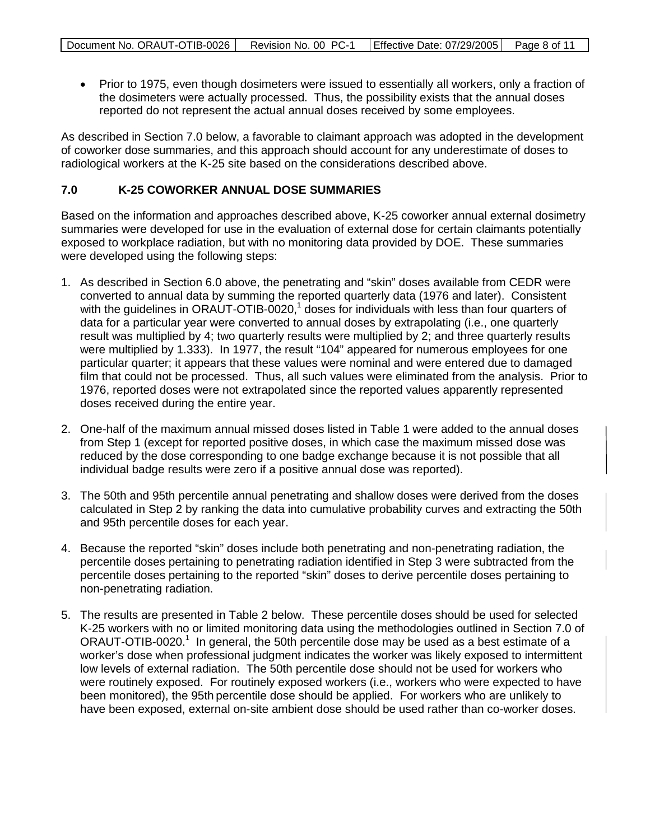• Prior to 1975, even though dosimeters were issued to essentially all workers, only a fraction of the dosimeters were actually processed. Thus, the possibility exists that the annual doses reported do not represent the actual annual doses received by some employees.

As described in Section 7.0 below, a favorable to claimant approach was adopted in the development of coworker dose summaries, and this approach should account for any underestimate of doses to radiological workers at the K-25 site based on the considerations described above.

#### **7.0 K-25 COWORKER ANNUAL DOSE SUMMARIES**

Based on the information and approaches described above, K-25 coworker annual external dosimetry summaries were developed for use in the evaluation of external dose for certain claimants potentially exposed to workplace radiation, but with no monitoring data provided by DOE. These summaries were developed using the following steps:

- 1. As described in Section 6.0 above, the penetrating and "skin" doses available from CEDR were converted to annual data by summing the reported quarterly data (1976 and later). Consistent with the guidelines in ORAUT-OTIB-0020,<sup>1</sup> doses for individuals with less than four quarters of data for a particular year were converted to annual doses by extrapolating (i.e., one quarterly result was multiplied by 4; two quarterly results were multiplied by 2; and three quarterly results were multiplied by 1.333). In 1977, the result "104" appeared for numerous employees for one particular quarter; it appears that these values were nominal and were entered due to damaged film that could not be processed. Thus, all such values were eliminated from the analysis. Prior to 1976, reported doses were not extrapolated since the reported values apparently represented doses received during the entire year.
- 2. One-half of the maximum annual missed doses listed in Table 1 were added to the annual doses from Step 1 (except for reported positive doses, in which case the maximum missed dose was reduced by the dose corresponding to one badge exchange because it is not possible that all individual badge results were zero if a positive annual dose was reported).
- 3. The 50th and 95th percentile annual penetrating and shallow doses were derived from the doses calculated in Step 2 by ranking the data into cumulative probability curves and extracting the 50th and 95th percentile doses for each year.
- 4. Because the reported "skin" doses include both penetrating and non-penetrating radiation, the percentile doses pertaining to penetrating radiation identified in Step 3 were subtracted from the percentile doses pertaining to the reported "skin" doses to derive percentile doses pertaining to non-penetrating radiation.
- 5. The results are presented in Table 2 below. These percentile doses should be used for selected K-25 workers with no or limited monitoring data using the methodologies outlined in Section 7.0 of ORAUT-OTIB-0020.<sup>1</sup> In general, the 50th percentile dose may be used as a best estimate of a worker's dose when professional judgment indicates the worker was likely exposed to intermittent low levels of external radiation. The 50th percentile dose should not be used for workers who were routinely exposed. For routinely exposed workers (i.e., workers who were expected to have been monitored), the 95th percentile dose should be applied. For workers who are unlikely to have been exposed, external on-site ambient dose should be used rather than co-worker doses.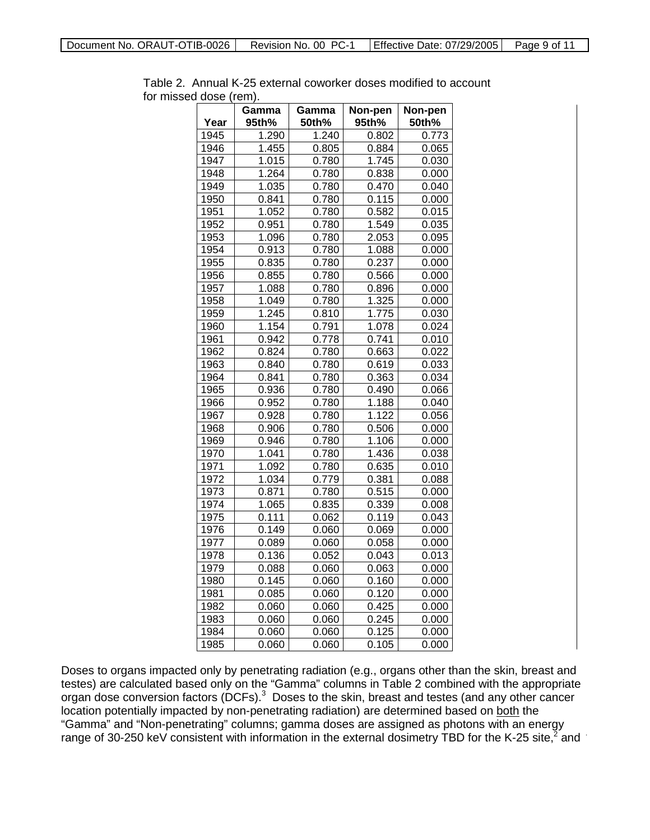| Year | Gamma<br>95th% | Gamma<br>50th% | Non-pen<br>95th% | Non-pen<br>50th% |
|------|----------------|----------------|------------------|------------------|
| 1945 | 1.290          | 1.240          | 0.802            | 0.773            |
| 1946 | 1.455          | 0.805          | 0.884            | 0.065            |
| 1947 | 1.015          | 0.780          | 1.745            | 0.030            |
| 1948 | 1.264          | 0.780          | 0.838            | 0.000            |
| 1949 | 1.035          | 0.780          | 0.470            | 0.040            |
| 1950 | 0.841          | 0.780          | 0.115            | 0.000            |
| 1951 | 1.052          | 0.780          | 0.582            | 0.015            |
| 1952 | 0.951          | 0.780          | 1.549            | 0.035            |
| 1953 | 1.096          | 0.780          | 2.053            | 0.095            |
| 1954 | 0.913          | 0.780          | 1.088            | 0.000            |
| 1955 | 0.835          | 0.780          | 0.237            | 0.000            |
| 1956 | 0.855          | 0.780          | 0.566            | 0.000            |
| 1957 | 1.088          | 0.780          | 0.896            | 0.000            |
| 1958 | 1.049          | 0.780          | 1.325            | 0.000            |
| 1959 | 1.245          | 0.810          | 1.775            | 0.030            |
| 1960 | 1.154          | 0.791          | 1.078            | 0.024            |
| 1961 | 0.942          | 0.778          | 0.741            | 0.010            |
| 1962 | 0.824          | 0.780          | 0.663            | 0.022            |
| 1963 | 0.840          | 0.780          | 0.619            | 0.033            |
| 1964 | 0.841          | 0.780          | 0.363            | 0.034            |
| 1965 | 0.936          | 0.780          | 0.490            | 0.066            |
| 1966 | 0.952          | 0.780          | 1.188            | 0.040            |
| 1967 | 0.928          | 0.780          | 1.122            | 0.056            |
| 1968 | 0.906          | 0.780          | 0.506            | 0.000            |
| 1969 | 0.946          | 0.780          | 1.106            | 0.000            |
| 1970 | 1.041          | 0.780          | 1.436            | 0.038            |
| 1971 | 1.092          | 0.780          | 0.635            | 0.010            |
| 1972 | 1.034          | 0.779          | 0.381            | 0.088            |
| 1973 | 0.871          | 0.780          | 0.515            | 0.000            |
| 1974 | 1.065          | 0.835          | 0.339            | 0.008            |
| 1975 | 0.111          | 0.062          | 0.119            | 0.043            |
| 1976 | 0.149          | 0.060          | 0.069            | 0.000            |
| 1977 | 0.089          | 0.060          | 0.058            | 0.000            |
| 1978 | 0.136          | 0.052          | 0.043            | 0.013            |
| 1979 | 0.088          | 0.060          | 0.063            | 0.000            |
| 1980 | 0.145          | 0.060          | 0.160            | 0.000            |
| 1981 | 0.085          | 0.060          | 0.120            | 0.000            |
| 1982 | 0.060          | 0.060          | 0.425            | 0.000            |
| 1983 | 0.060          | 0.060          | 0.245            | 0.000            |
| 1984 | 0.060          | 0.060          | 0.125            | 0.000            |
| 1985 | 0.060          | 0.060          | 0.105            | 0.000            |

Table 2. Annual K-25 external coworker doses modified to account for missed dose (rem).

Doses to organs impacted only by penetrating radiation (e.g., organs other than the skin, breast and testes) are calculated based only on the "Gamma" columns in Table 2 combined with the appropriate organ dose conversion factors (DCFs). $3$  Doses to the skin, breast and testes (and any other cancer location potentially impacted by non-penetrating radiation) are determined based on both the "Gamma" and "Non-penetrating" columns; gamma doses are assigned as photons with an energy range of 30-250 keV consistent with information in the external dosimetry TBD for the K-25 site, $^2$  and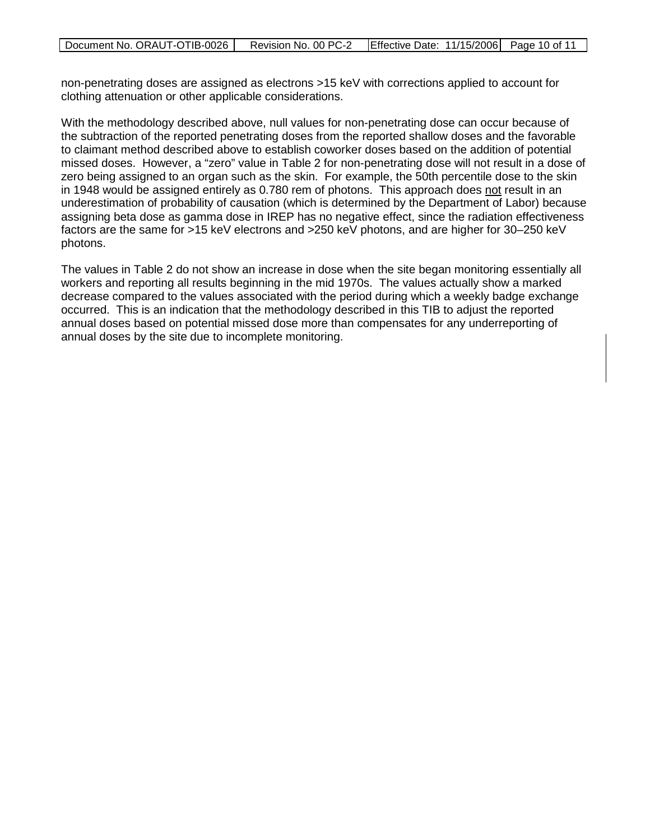non-penetrating doses are assigned as electrons >15 keV with corrections applied to account for clothing attenuation or other applicable considerations.

With the methodology described above, null values for non-penetrating dose can occur because of the subtraction of the reported penetrating doses from the reported shallow doses and the favorable to claimant method described above to establish coworker doses based on the addition of potential missed doses. However, a "zero" value in Table 2 for non-penetrating dose will not result in a dose of zero being assigned to an organ such as the skin. For example, the 50th percentile dose to the skin in 1948 would be assigned entirely as 0.780 rem of photons. This approach does <u>not</u> result in an underestimation of probability of causation (which is determined by the Department of Labor) because assigning beta dose as gamma dose in IREP has no negative effect, since the radiation effectiveness factors are the same for >15 keV electrons and >250 keV photons, and are higher for 30–250 keV photons.

The values in Table 2 do not show an increase in dose when the site began monitoring essentially all workers and reporting all results beginning in the mid 1970s. The values actually show a marked decrease compared to the values associated with the period during which a weekly badge exchange occurred. This is an indication that the methodology described in this TIB to adjust the reported annual doses based on potential missed dose more than compensates for any underreporting of annual doses by the site due to incomplete monitoring.